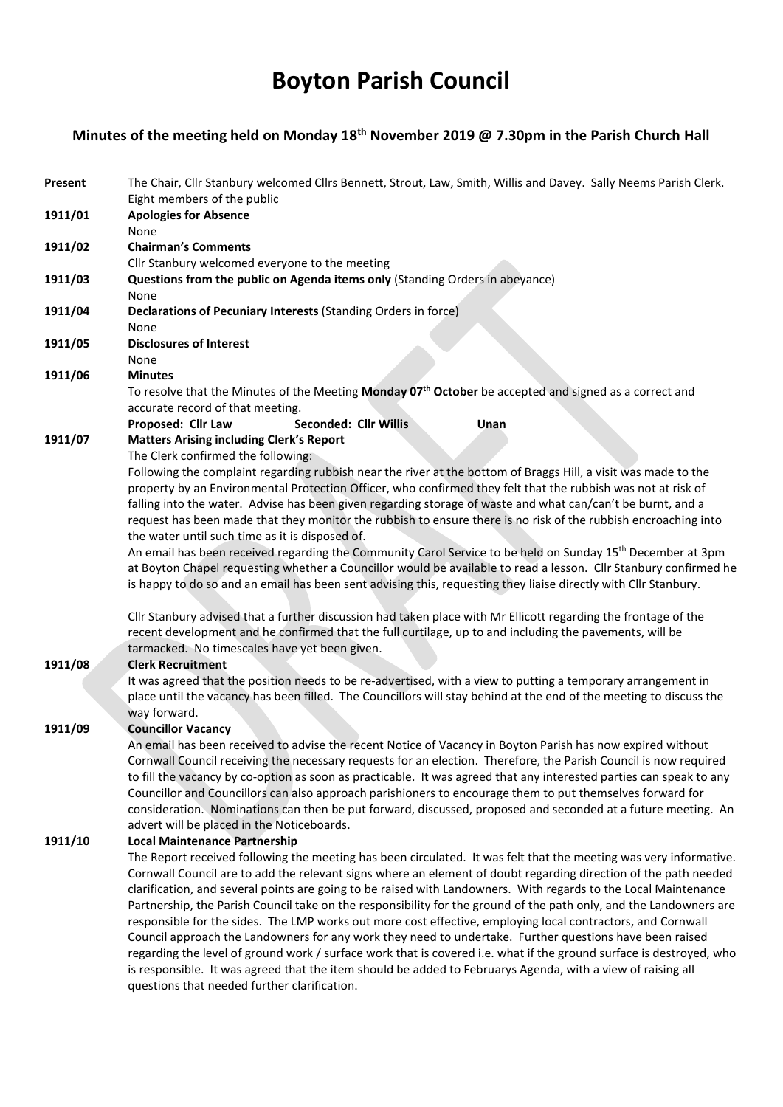# Boyton Parish Council

## Minutes of the meeting held on Monday 18<sup>th</sup> November 2019 @ 7.30pm in the Parish Church Hall

| Present | The Chair, Cllr Stanbury welcomed Cllrs Bennett, Strout, Law, Smith, Willis and Davey. Sally Neems Parish Clerk.<br>Eight members of the public                                                                                            |
|---------|--------------------------------------------------------------------------------------------------------------------------------------------------------------------------------------------------------------------------------------------|
| 1911/01 | <b>Apologies for Absence</b>                                                                                                                                                                                                               |
|         | None                                                                                                                                                                                                                                       |
| 1911/02 | <b>Chairman's Comments</b>                                                                                                                                                                                                                 |
|         | Cllr Stanbury welcomed everyone to the meeting                                                                                                                                                                                             |
| 1911/03 | Questions from the public on Agenda items only (Standing Orders in abeyance)<br>None                                                                                                                                                       |
| 1911/04 | Declarations of Pecuniary Interests (Standing Orders in force)                                                                                                                                                                             |
|         | None                                                                                                                                                                                                                                       |
| 1911/05 | <b>Disclosures of Interest</b>                                                                                                                                                                                                             |
|         | None                                                                                                                                                                                                                                       |
| 1911/06 | <b>Minutes</b>                                                                                                                                                                                                                             |
|         | To resolve that the Minutes of the Meeting Monday 07 <sup>th</sup> October be accepted and signed as a correct and<br>accurate record of that meeting.                                                                                     |
|         | Proposed: Cllr Law<br>Seconded: Cllr Willis<br>Unan                                                                                                                                                                                        |
| 1911/07 | <b>Matters Arising including Clerk's Report</b>                                                                                                                                                                                            |
|         | The Clerk confirmed the following:                                                                                                                                                                                                         |
|         | Following the complaint regarding rubbish near the river at the bottom of Braggs Hill, a visit was made to the                                                                                                                             |
|         | property by an Environmental Protection Officer, who confirmed they felt that the rubbish was not at risk of                                                                                                                               |
|         | falling into the water. Advise has been given regarding storage of waste and what can/can't be burnt, and a                                                                                                                                |
|         | request has been made that they monitor the rubbish to ensure there is no risk of the rubbish encroaching into                                                                                                                             |
|         | the water until such time as it is disposed of.                                                                                                                                                                                            |
|         | An email has been received regarding the Community Carol Service to be held on Sunday 15 <sup>th</sup> December at 3pm<br>at Boyton Chapel requesting whether a Councillor would be available to read a lesson. Cllr Stanbury confirmed he |
|         | is happy to do so and an email has been sent advising this, requesting they liaise directly with Cllr Stanbury.                                                                                                                            |
|         |                                                                                                                                                                                                                                            |
|         | Cllr Stanbury advised that a further discussion had taken place with Mr Ellicott regarding the frontage of the                                                                                                                             |
|         | recent development and he confirmed that the full curtilage, up to and including the pavements, will be                                                                                                                                    |
|         | tarmacked. No timescales have yet been given.                                                                                                                                                                                              |
| 1911/08 | <b>Clerk Recruitment</b>                                                                                                                                                                                                                   |
|         | It was agreed that the position needs to be re-advertised, with a view to putting a temporary arrangement in                                                                                                                               |
|         | place until the vacancy has been filled. The Councillors will stay behind at the end of the meeting to discuss the                                                                                                                         |
|         | way forward.                                                                                                                                                                                                                               |
| 1911/09 | <b>Councillor Vacancy</b>                                                                                                                                                                                                                  |
|         | An email has been received to advise the recent Notice of Vacancy in Boyton Parish has now expired without                                                                                                                                 |
|         | Cornwall Council receiving the necessary requests for an election. Therefore, the Parish Council is now required                                                                                                                           |
|         | to fill the vacancy by co-option as soon as practicable. It was agreed that any interested parties can speak to any                                                                                                                        |
|         | Councillor and Councillors can also approach parishioners to encourage them to put themselves forward for                                                                                                                                  |
|         | consideration. Nominations can then be put forward, discussed, proposed and seconded at a future meeting. An<br>advert will be placed in the Noticeboards.                                                                                 |
| 1911/10 | <b>Local Maintenance Partnership</b>                                                                                                                                                                                                       |
|         | The Report received following the meeting has been circulated. It was felt that the meeting was very informative.                                                                                                                          |
|         | Cornwall Council are to add the relevant signs where an element of doubt regarding direction of the path needed                                                                                                                            |
|         | clarification, and several points are going to be raised with Landowners. With regards to the Local Maintenance                                                                                                                            |
|         | Partnership, the Parish Council take on the responsibility for the ground of the path only, and the Landowners are                                                                                                                         |
|         | responsible for the sides. The LMP works out more cost effective, employing local contractors, and Cornwall                                                                                                                                |
|         | Council approach the Landowners for any work they need to undertake. Further questions have been raised                                                                                                                                    |
|         | regarding the level of ground work / surface work that is covered i.e. what if the ground surface is destroyed, who                                                                                                                        |
|         | is responsible. It was agreed that the item should be added to Februarys Agenda, with a view of raising all                                                                                                                                |
|         | questions that needed further clarification.                                                                                                                                                                                               |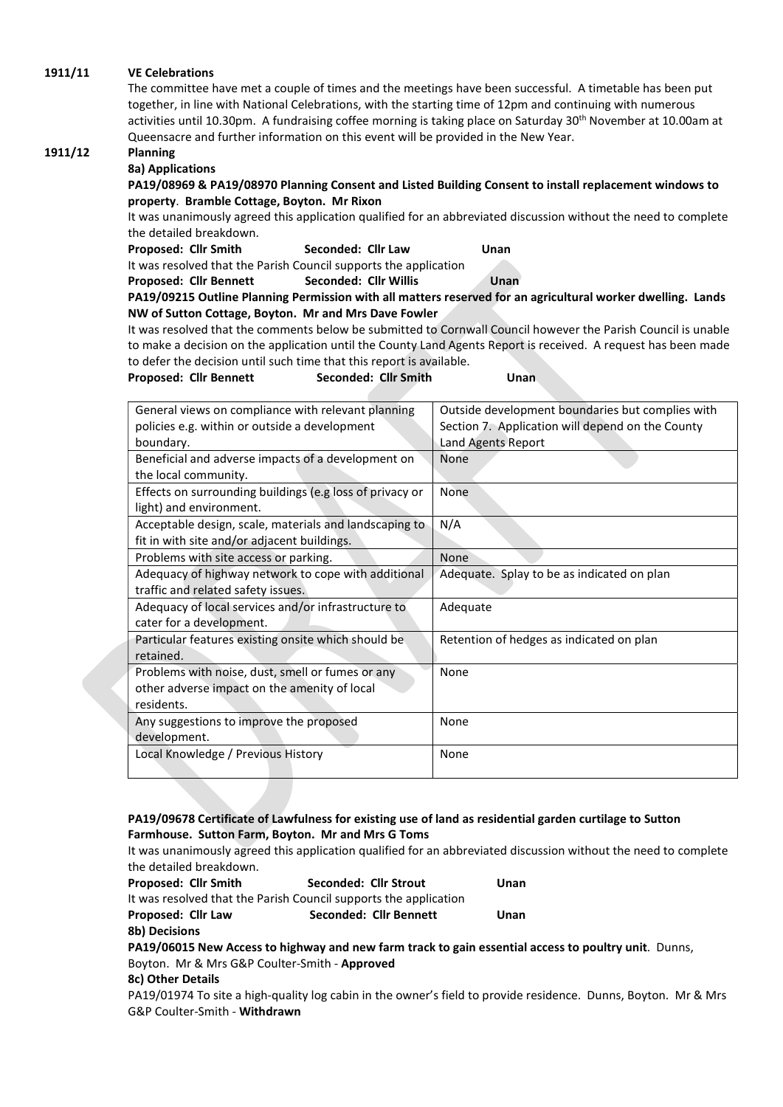#### 1911/11 VE Celebrations

The committee have met a couple of times and the meetings have been successful. A timetable has been put together, in line with National Celebrations, with the starting time of 12pm and continuing with numerous activities until 10.30pm. A fundraising coffee morning is taking place on Saturday 30<sup>th</sup> November at 10.00am at Queensacre and further information on this event will be provided in the New Year.

#### 1911/12 Planning

#### 8a) Applications

#### PA19/08969 & PA19/08970 Planning Consent and Listed Building Consent to install replacement windows to property. Bramble Cottage, Boyton. Mr Rixon

It was unanimously agreed this application qualified for an abbreviated discussion without the need to complete the detailed breakdown.

Proposed: Cllr Smith Seconded: Cllr Law Unan

It was resolved that the Parish Council supports the application

Proposed: Cllr Bennett Seconded: Cllr Willis Vinan

PA19/09215 Outline Planning Permission with all matters reserved for an agricultural worker dwelling. Lands NW of Sutton Cottage, Boyton. Mr and Mrs Dave Fowler

It was resolved that the comments below be submitted to Cornwall Council however the Parish Council is unable to make a decision on the application until the County Land Agents Report is received. A request has been made to defer the decision until such time that this report is available. Proposed: Cllr Bennett Seconded: Cllr Smith Unan

| General views on compliance with relevant planning       | Outside development boundaries but complies with |
|----------------------------------------------------------|--------------------------------------------------|
| policies e.g. within or outside a development            | Section 7. Application will depend on the County |
| boundary.                                                | Land Agents Report                               |
| Beneficial and adverse impacts of a development on       | None                                             |
| the local community.                                     |                                                  |
| Effects on surrounding buildings (e.g loss of privacy or | None                                             |
| light) and environment.                                  |                                                  |
| Acceptable design, scale, materials and landscaping to   | N/A                                              |
| fit in with site and/or adjacent buildings.              |                                                  |
| Problems with site access or parking.                    | <b>None</b>                                      |
| Adequacy of highway network to cope with additional      | Adequate. Splay to be as indicated on plan       |
| traffic and related safety issues.                       |                                                  |
| Adequacy of local services and/or infrastructure to      | Adequate                                         |
| cater for a development.                                 |                                                  |
| Particular features existing onsite which should be      | Retention of hedges as indicated on plan         |
| retained.                                                |                                                  |
| Problems with noise, dust, smell or fumes or any         | None                                             |
| other adverse impact on the amenity of local             |                                                  |
| residents.                                               |                                                  |
| Any suggestions to improve the proposed                  | None                                             |
| development.                                             |                                                  |
| Local Knowledge / Previous History                       | None                                             |
|                                                          |                                                  |

#### PA19/09678 Certificate of Lawfulness for existing use of land as residential garden curtilage to Sutton Farmhouse. Sutton Farm, Boyton. Mr and Mrs G Toms

| It was unanimously agreed this application qualified for an abbreviated discussion without the need to complete |  |
|-----------------------------------------------------------------------------------------------------------------|--|
| the detailed breakdown.                                                                                         |  |

| Proposed: Cllr Smith | Seconded: Cllr Strout                                            | Unan |
|----------------------|------------------------------------------------------------------|------|
|                      | It was resolved that the Parish Council supports the application |      |
| Proposed: Cllr Law   | Seconded: Cllr Bennett                                           | Unan |
| 8b) Decisions        |                                                                  |      |
|                      |                                                                  |      |

PA19/06015 New Access to highway and new farm track to gain essential access to poultry unit. Dunns, Boyton. Mr & Mrs G&P Coulter-Smith - Approved

8c) Other Details

PA19/01974 To site a high-quality log cabin in the owner's field to provide residence. Dunns, Boyton. Mr & Mrs G&P Coulter-Smith - Withdrawn